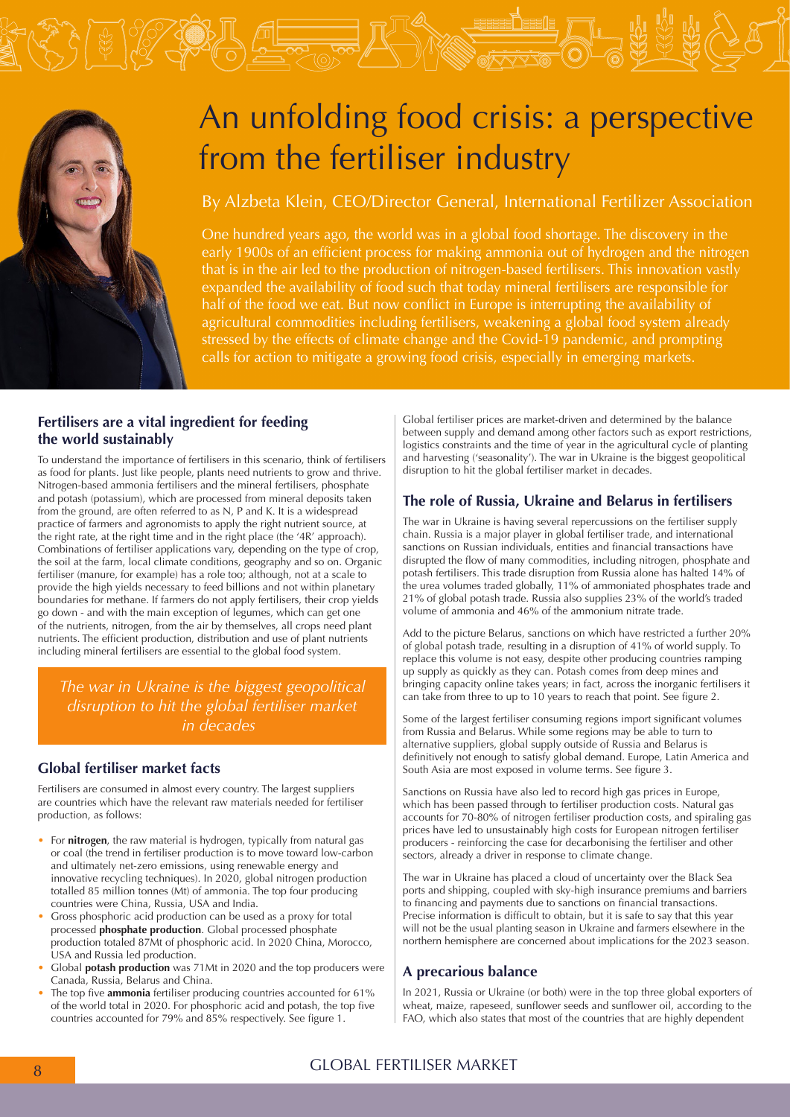

# An unfolding food crisis: a perspective from the fertiliser industry

## By Alzbeta Klein, CEO/Director General, International Fertilizer Association

One hundred years ago, the world was in a global food shortage. The discovery in the early 1900s of an efficient process for making ammonia out of hydrogen and the nitrogen that is in the air led to the production of nitrogen-based fertilisers. This innovation vastly expanded the availability of food such that today mineral fertilisers are responsible for half of the food we eat. But now conflict in Europe is interrupting the availability of agricultural commodities including fertilisers, weakening a global food system already stressed by the effects of climate change and the Covid-19 pandemic, and prompting calls for action to mitigate a growing food crisis, especially in emerging markets.

#### **Fertilisers are a vital ingredient for feeding the world sustainably**

To understand the importance of fertilisers in this scenario, think of fertilisers as food for plants. Just like people, plants need nutrients to grow and thrive. Nitrogen-based ammonia fertilisers and the mineral fertilisers, phosphate and potash (potassium), which are processed from mineral deposits taken from the ground, are often referred to as N, P and K. It is a widespread practice of farmers and agronomists to apply the right nutrient source, at the right rate, at the right time and in the right place (the '4R' approach). Combinations of fertiliser applications vary, depending on the type of crop, the soil at the farm, local climate conditions, geography and so on. Organic fertiliser (manure, for example) has a role too; although, not at a scale to provide the high yields necessary to feed billions and not within planetary boundaries for methane. If farmers do not apply fertilisers, their crop yields go down - and with the main exception of legumes, which can get one of the nutrients, nitrogen, from the air by themselves, all crops need plant nutrients. The efficient production, distribution and use of plant nutrients including mineral fertilisers are essential to the global food system.

*The war in Ukraine is the biggest geopolitical disruption to hit the global fertiliser market in decades*

#### **Global fertiliser market facts**

Fertilisers are consumed in almost every country. The largest suppliers are countries which have the relevant raw materials needed for fertiliser production, as follows:

- For **nitrogen**, the raw material is hydrogen, typically from natural gas or coal (the trend in fertiliser production is to move toward low-carbon and ultimately net-zero emissions, using renewable energy and innovative recycling techniques). In 2020, global nitrogen production totalled 85 million tonnes (Mt) of ammonia. The top four producing countries were China, Russia, USA and India.
- Gross phosphoric acid production can be used as a proxy for total processed **phosphate production**. Global processed phosphate production totaled 87Mt of phosphoric acid. In 2020 China, Morocco, USA and Russia led production.
- Global **potash production** was 71Mt in 2020 and the top producers were Canada, Russia, Belarus and China.
- The top five **ammonia** fertiliser producing countries accounted for 61% of the world total in 2020. For phosphoric acid and potash, the top five countries accounted for 79% and 85% respectively. See figure 1.

Global fertiliser prices are market-driven and determined by the balance between supply and demand among other factors such as export restrictions, logistics constraints and the time of year in the agricultural cycle of planting and harvesting ('seasonality'). The war in Ukraine is the biggest geopolitical disruption to hit the global fertiliser market in decades.

#### **The role of Russia, Ukraine and Belarus in fertilisers**

The war in Ukraine is having several repercussions on the fertiliser supply chain. Russia is a major player in global fertiliser trade, and international sanctions on Russian individuals, entities and financial transactions have disrupted the flow of many commodities, including nitrogen, phosphate and potash fertilisers. This trade disruption from Russia alone has halted 14% of the urea volumes traded globally, 11% of ammoniated phosphates trade and 21% of global potash trade. Russia also supplies 23% of the world's traded volume of ammonia and 46% of the ammonium nitrate trade.

Add to the picture Belarus, sanctions on which have restricted a further 20% of global potash trade, resulting in a disruption of 41% of world supply. To replace this volume is not easy, despite other producing countries ramping up supply as quickly as they can. Potash comes from deep mines and bringing capacity online takes years; in fact, across the inorganic fertilisers it can take from three to up to 10 years to reach that point. See figure 2.

Some of the largest fertiliser consuming regions import significant volumes from Russia and Belarus. While some regions may be able to turn to alternative suppliers, global supply outside of Russia and Belarus is definitively not enough to satisfy global demand. Europe, Latin America and South Asia are most exposed in volume terms. See figure 3.

Sanctions on Russia have also led to record high gas prices in Europe, which has been passed through to fertiliser production costs. Natural gas accounts for 70-80% of nitrogen fertiliser production costs, and spiraling gas prices have led to unsustainably high costs for European nitrogen fertiliser producers - reinforcing the case for decarbonising the fertiliser and other sectors, already a driver in response to climate change.

The war in Ukraine has placed a cloud of uncertainty over the Black Sea ports and shipping, coupled with sky-high insurance premiums and barriers to financing and payments due to sanctions on financial transactions. Precise information is difficult to obtain, but it is safe to say that this year will not be the usual planting season in Ukraine and farmers elsewhere in the northern hemisphere are concerned about implications for the 2023 season.

### **A precarious balance**

In 2021, Russia or Ukraine (or both) were in the top three global exporters of wheat, maize, rapeseed, sunflower seeds and sunflower oil, according to the FAO, which also states that most of the countries that are highly dependent